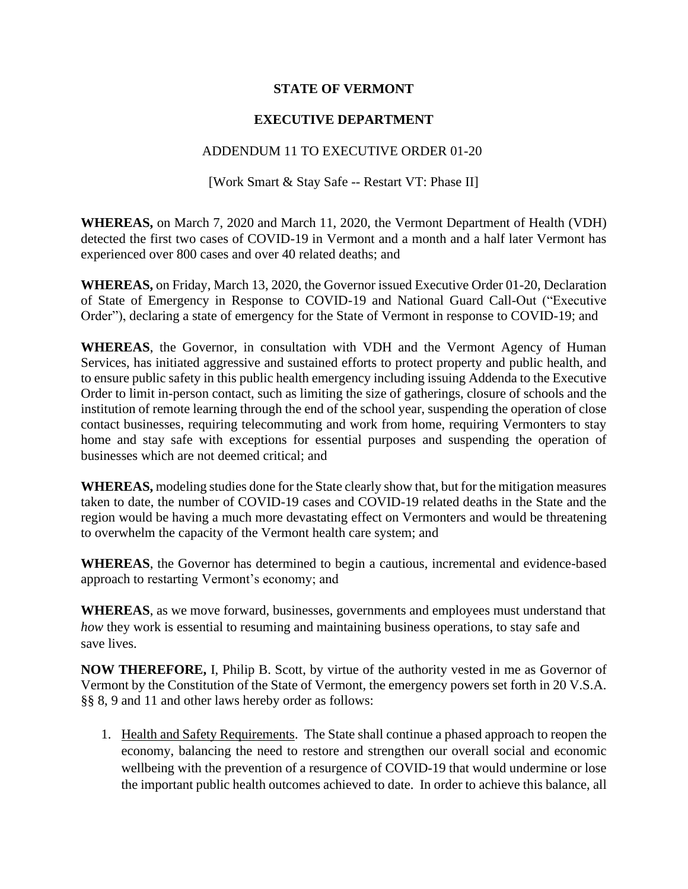## **STATE OF VERMONT**

## **EXECUTIVE DEPARTMENT**

## ADDENDUM 11 TO EXECUTIVE ORDER 01-20

[Work Smart & Stay Safe -- Restart VT: Phase II]

**WHEREAS,** on March 7, 2020 and March 11, 2020, the Vermont Department of Health (VDH) detected the first two cases of COVID-19 in Vermont and a month and a half later Vermont has experienced over 800 cases and over 40 related deaths; and

**WHEREAS,** on Friday, March 13, 2020, the Governor issued Executive Order 01-20, Declaration of State of Emergency in Response to COVID-19 and National Guard Call-Out ("Executive Order"), declaring a state of emergency for the State of Vermont in response to COVID-19; and

**WHEREAS**, the Governor, in consultation with VDH and the Vermont Agency of Human Services, has initiated aggressive and sustained efforts to protect property and public health, and to ensure public safety in this public health emergency including issuing Addenda to the Executive Order to limit in-person contact, such as limiting the size of gatherings, closure of schools and the institution of remote learning through the end of the school year, suspending the operation of close contact businesses, requiring telecommuting and work from home, requiring Vermonters to stay home and stay safe with exceptions for essential purposes and suspending the operation of businesses which are not deemed critical; and

**WHEREAS,** modeling studies done for the State clearly show that, but for the mitigation measures taken to date, the number of COVID-19 cases and COVID-19 related deaths in the State and the region would be having a much more devastating effect on Vermonters and would be threatening to overwhelm the capacity of the Vermont health care system; and

**WHEREAS**, the Governor has determined to begin a cautious, incremental and evidence-based approach to restarting Vermont's economy; and

**WHEREAS**, as we move forward, businesses, governments and employees must understand that *how* they work is essential to resuming and maintaining business operations, to stay safe and save lives.

**NOW THEREFORE,** I, Philip B. Scott, by virtue of the authority vested in me as Governor of Vermont by the Constitution of the State of Vermont, the emergency powers set forth in 20 V.S.A. §§ 8, 9 and 11 and other laws hereby order as follows:

1. Health and Safety Requirements. The State shall continue a phased approach to reopen the economy, balancing the need to restore and strengthen our overall social and economic wellbeing with the prevention of a resurgence of COVID-19 that would undermine or lose the important public health outcomes achieved to date. In order to achieve this balance, all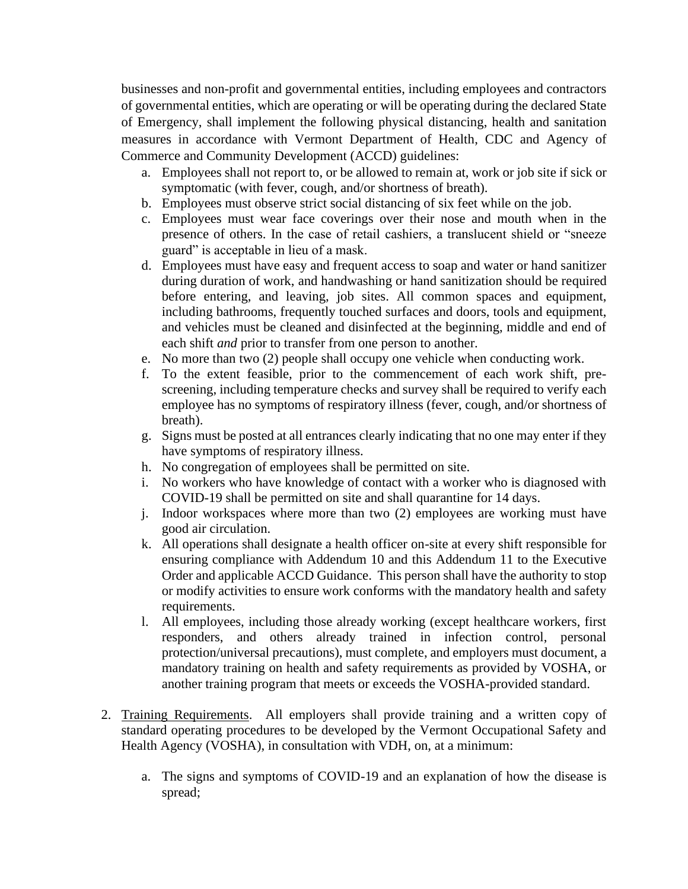businesses and non-profit and governmental entities, including employees and contractors of governmental entities, which are operating or will be operating during the declared State of Emergency, shall implement the following physical distancing, health and sanitation measures in accordance with Vermont Department of Health, CDC and Agency of Commerce and Community Development (ACCD) guidelines:

- a. Employees shall not report to, or be allowed to remain at, work or job site if sick or symptomatic (with fever, cough, and/or shortness of breath).
- b. Employees must observe strict social distancing of six feet while on the job.
- c. Employees must wear face coverings over their nose and mouth when in the presence of others. In the case of retail cashiers, a translucent shield or "sneeze guard" is acceptable in lieu of a mask.
- d. Employees must have easy and frequent access to soap and water or hand sanitizer during duration of work, and handwashing or hand sanitization should be required before entering, and leaving, job sites. All common spaces and equipment, including bathrooms, frequently touched surfaces and doors, tools and equipment, and vehicles must be cleaned and disinfected at the beginning, middle and end of each shift *and* prior to transfer from one person to another.
- e. No more than two (2) people shall occupy one vehicle when conducting work.
- f. To the extent feasible, prior to the commencement of each work shift, prescreening, including temperature checks and survey shall be required to verify each employee has no symptoms of respiratory illness (fever, cough, and/or shortness of breath).
- g. Signs must be posted at all entrances clearly indicating that no one may enter if they have symptoms of respiratory illness.
- h. No congregation of employees shall be permitted on site.
- i. No workers who have knowledge of contact with a worker who is diagnosed with COVID-19 shall be permitted on site and shall quarantine for 14 days.
- j. Indoor workspaces where more than two (2) employees are working must have good air circulation.
- k. All operations shall designate a health officer on-site at every shift responsible for ensuring compliance with Addendum 10 and this Addendum 11 to the Executive Order and applicable ACCD Guidance. This person shall have the authority to stop or modify activities to ensure work conforms with the mandatory health and safety requirements.
- l. All employees, including those already working (except healthcare workers, first responders, and others already trained in infection control, personal protection/universal precautions), must complete, and employers must document, a mandatory training on health and safety requirements as provided by VOSHA, or another training program that meets or exceeds the VOSHA-provided standard.
- 2. Training Requirements. All employers shall provide training and a written copy of standard operating procedures to be developed by the Vermont Occupational Safety and Health Agency (VOSHA), in consultation with VDH, on, at a minimum:
	- a. The signs and symptoms of COVID-19 and an explanation of how the disease is spread;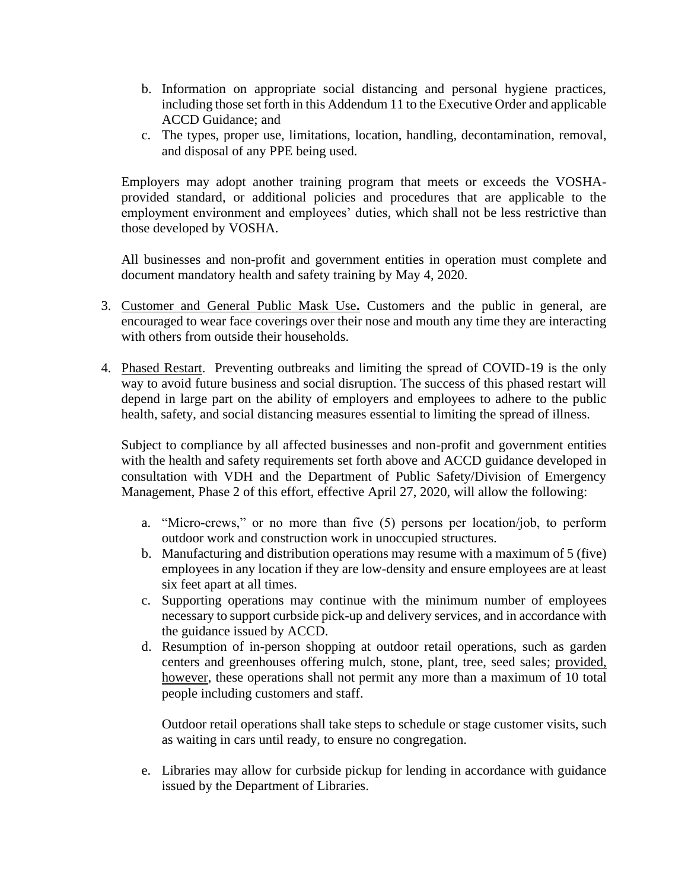- b. Information on appropriate social distancing and personal hygiene practices, including those set forth in this Addendum 11 to the Executive Order and applicable ACCD Guidance; and
- c. The types, proper use, limitations, location, handling, decontamination, removal, and disposal of any PPE being used.

Employers may adopt another training program that meets or exceeds the VOSHAprovided standard, or additional policies and procedures that are applicable to the employment environment and employees' duties, which shall not be less restrictive than those developed by VOSHA.

All businesses and non-profit and government entities in operation must complete and document mandatory health and safety training by May 4, 2020.

- 3. Customer and General Public Mask Use**.** Customers and the public in general, are encouraged to wear face coverings over their nose and mouth any time they are interacting with others from outside their households.
- 4. Phased Restart. Preventing outbreaks and limiting the spread of COVID-19 is the only way to avoid future business and social disruption. The success of this phased restart will depend in large part on the ability of employers and employees to adhere to the public health, safety, and social distancing measures essential to limiting the spread of illness.

Subject to compliance by all affected businesses and non-profit and government entities with the health and safety requirements set forth above and ACCD guidance developed in consultation with VDH and the Department of Public Safety/Division of Emergency Management, Phase 2 of this effort, effective April 27, 2020, will allow the following:

- a. "Micro-crews," or no more than five (5) persons per location/job, to perform outdoor work and construction work in unoccupied structures.
- b. Manufacturing and distribution operations may resume with a maximum of 5 (five) employees in any location if they are low-density and ensure employees are at least six feet apart at all times.
- c. Supporting operations may continue with the minimum number of employees necessary to support curbside pick-up and delivery services, and in accordance with the guidance issued by ACCD.
- d. Resumption of in-person shopping at outdoor retail operations, such as garden centers and greenhouses offering mulch, stone, plant, tree, seed sales; provided, however, these operations shall not permit any more than a maximum of 10 total people including customers and staff.

Outdoor retail operations shall take steps to schedule or stage customer visits, such as waiting in cars until ready, to ensure no congregation.

e. Libraries may allow for curbside pickup for lending in accordance with guidance issued by the Department of Libraries.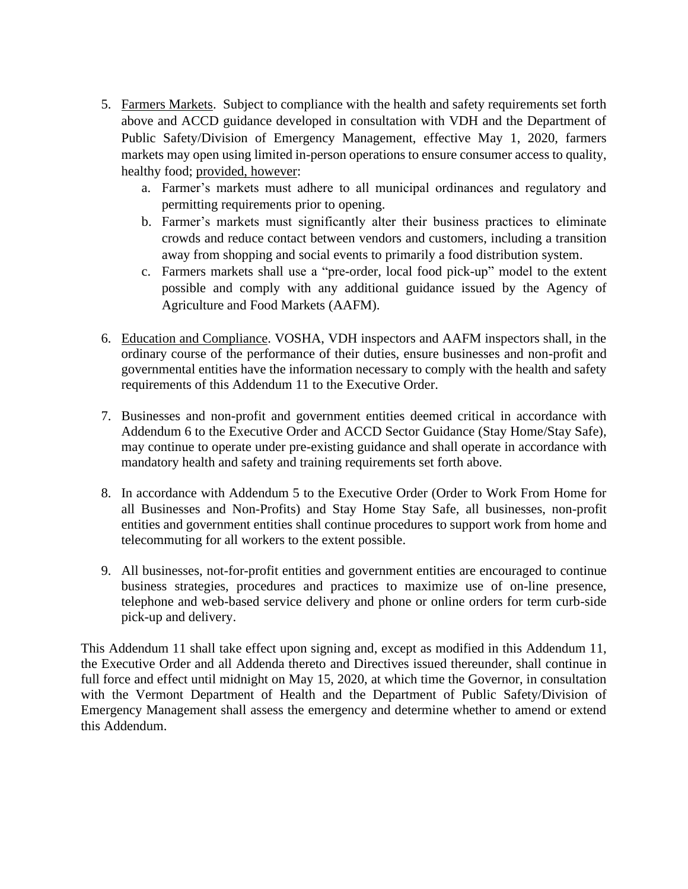- 5. Farmers Markets. Subject to compliance with the health and safety requirements set forth above and ACCD guidance developed in consultation with VDH and the Department of Public Safety/Division of Emergency Management, effective May 1, 2020, farmers markets may open using limited in-person operations to ensure consumer access to quality, healthy food; provided, however:
	- a. Farmer's markets must adhere to all municipal ordinances and regulatory and permitting requirements prior to opening.
	- b. Farmer's markets must significantly alter their business practices to eliminate crowds and reduce contact between vendors and customers, including a transition away from shopping and social events to primarily a food distribution system.
	- c. Farmers markets shall use a "pre-order, local food pick-up" model to the extent possible and comply with any additional guidance issued by the Agency of Agriculture and Food Markets (AAFM).
- 6. Education and Compliance. VOSHA, VDH inspectors and AAFM inspectors shall, in the ordinary course of the performance of their duties, ensure businesses and non-profit and governmental entities have the information necessary to comply with the health and safety requirements of this Addendum 11 to the Executive Order.
- 7. Businesses and non-profit and government entities deemed critical in accordance with Addendum 6 to the Executive Order and ACCD Sector Guidance (Stay Home/Stay Safe), may continue to operate under pre-existing guidance and shall operate in accordance with mandatory health and safety and training requirements set forth above.
- 8. In accordance with Addendum 5 to the Executive Order (Order to Work From Home for all Businesses and Non-Profits) and Stay Home Stay Safe, all businesses, non-profit entities and government entities shall continue procedures to support work from home and telecommuting for all workers to the extent possible.
- 9. All businesses, not-for-profit entities and government entities are encouraged to continue business strategies, procedures and practices to maximize use of on-line presence, telephone and web-based service delivery and phone or online orders for term curb-side pick-up and delivery.

This Addendum 11 shall take effect upon signing and, except as modified in this Addendum 11, the Executive Order and all Addenda thereto and Directives issued thereunder, shall continue in full force and effect until midnight on May 15, 2020, at which time the Governor, in consultation with the Vermont Department of Health and the Department of Public Safety/Division of Emergency Management shall assess the emergency and determine whether to amend or extend this Addendum.